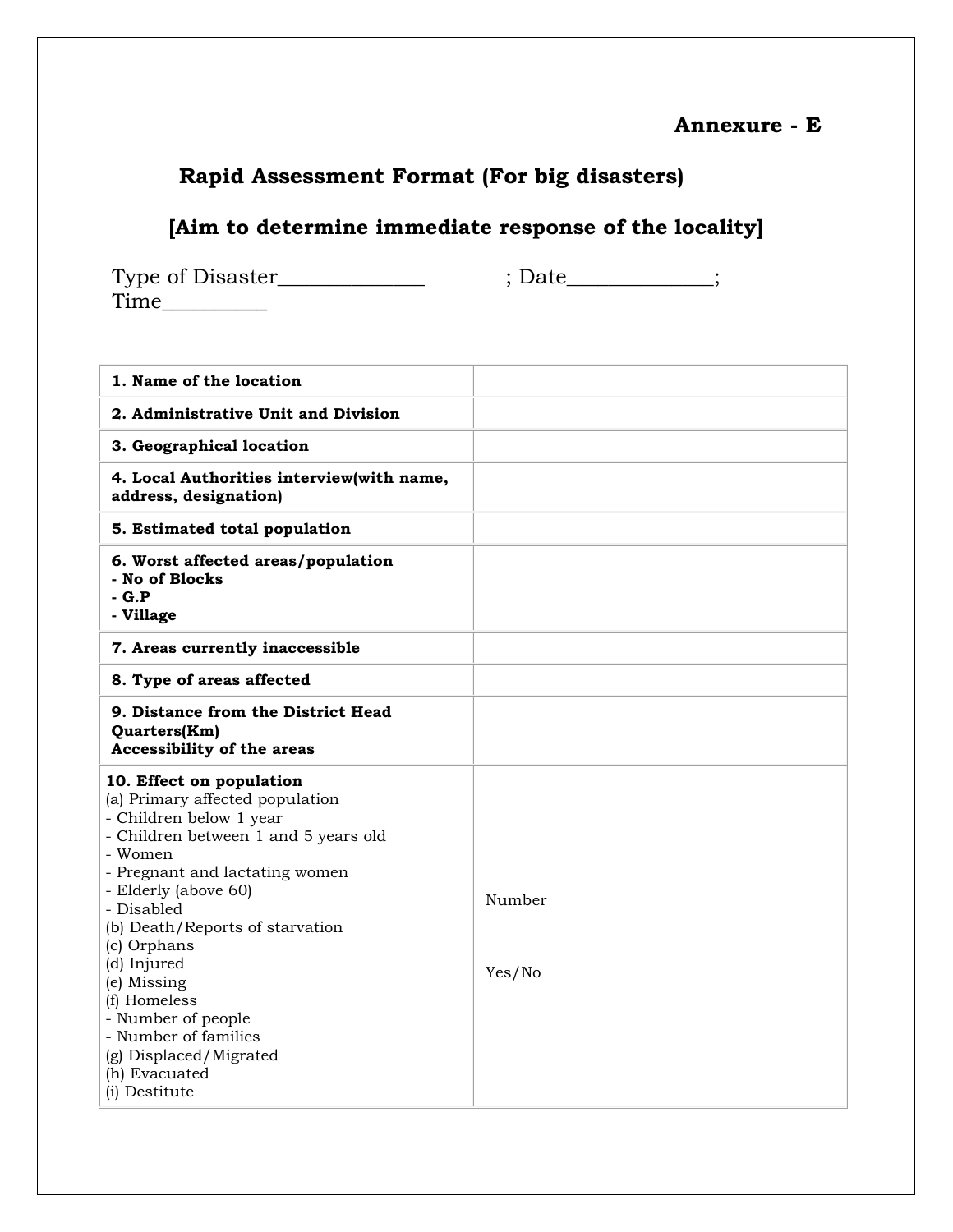## **Annexure - E**

## **Rapid Assessment Format (For big disasters)**

## **[Aim to determine immediate response of the locality]**

 $\begin{minipage}[c]{0.9\linewidth} \textit{Type of Disaster}\underline{\hspace{1.5cm}}; \textit{Date}\underline{\hspace{1.5cm}}; \end{minipage}$ Time\_\_\_\_\_\_\_\_\_\_

| 1. Name of the location                                                                                                                                                                                                                                                                                                                                                                                                     |                  |
|-----------------------------------------------------------------------------------------------------------------------------------------------------------------------------------------------------------------------------------------------------------------------------------------------------------------------------------------------------------------------------------------------------------------------------|------------------|
| 2. Administrative Unit and Division                                                                                                                                                                                                                                                                                                                                                                                         |                  |
| 3. Geographical location                                                                                                                                                                                                                                                                                                                                                                                                    |                  |
| 4. Local Authorities interview(with name,<br>address, designation)                                                                                                                                                                                                                                                                                                                                                          |                  |
| 5. Estimated total population                                                                                                                                                                                                                                                                                                                                                                                               |                  |
| 6. Worst affected areas/population<br>- No of Blocks<br>$-G.P$<br>- Village                                                                                                                                                                                                                                                                                                                                                 |                  |
| 7. Areas currently inaccessible                                                                                                                                                                                                                                                                                                                                                                                             |                  |
| 8. Type of areas affected                                                                                                                                                                                                                                                                                                                                                                                                   |                  |
| 9. Distance from the District Head<br>Quarters(Km)<br>Accessibility of the areas                                                                                                                                                                                                                                                                                                                                            |                  |
| 10. Effect on population<br>(a) Primary affected population<br>- Children below 1 year<br>- Children between 1 and 5 years old<br>- Women<br>- Pregnant and lactating women<br>- Elderly (above 60)<br>- Disabled<br>(b) Death/Reports of starvation<br>(c) Orphans<br>(d) Injured<br>(e) Missing<br>(f) Homeless<br>- Number of people<br>- Number of families<br>(g) Displaced/Migrated<br>(h) Evacuated<br>(i) Destitute | Number<br>Yes/No |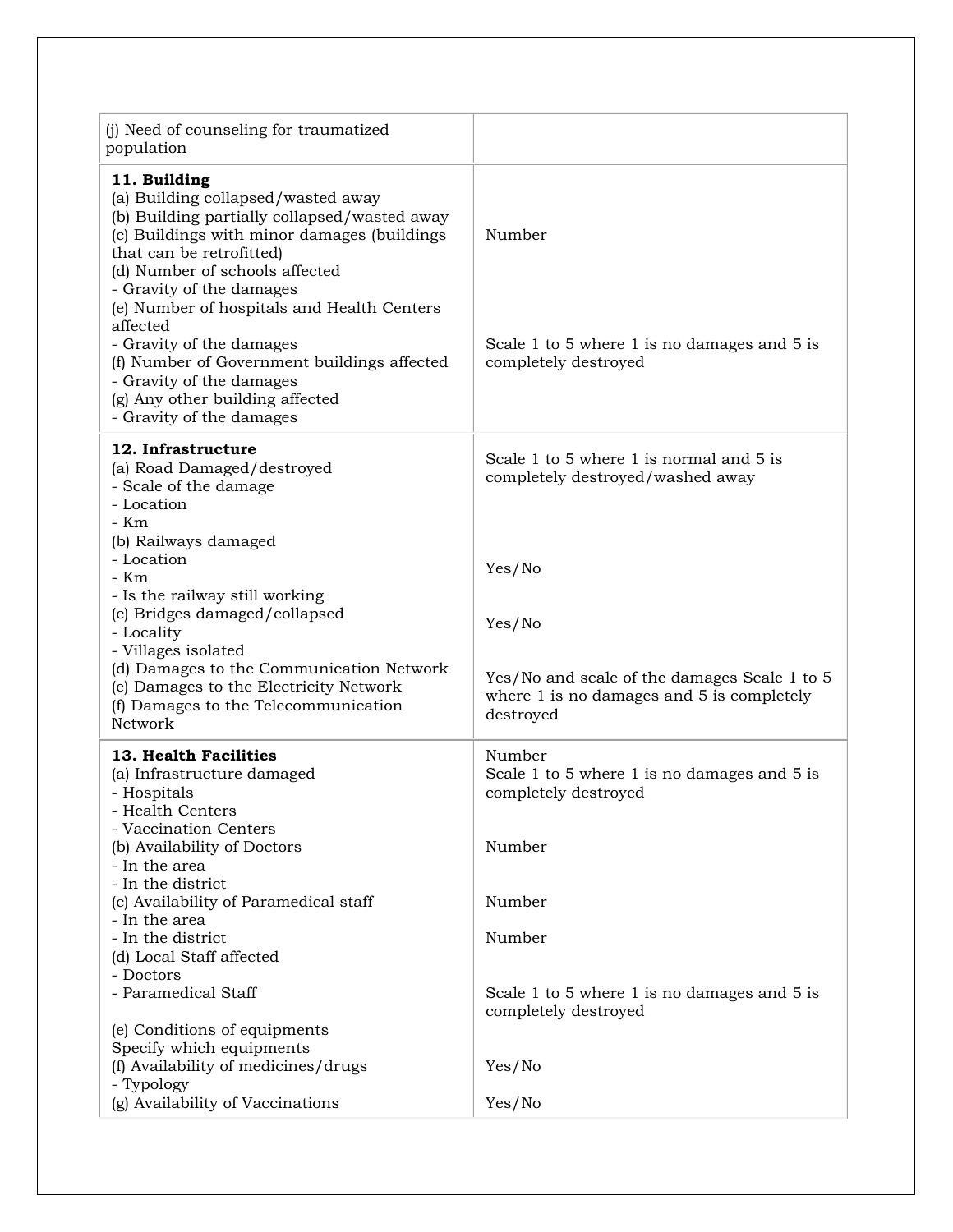| (j) Need of counseling for traumatized<br>population                                                                                                                                                                                                                                                                                                                                                                                                                        |                                                                                                        |
|-----------------------------------------------------------------------------------------------------------------------------------------------------------------------------------------------------------------------------------------------------------------------------------------------------------------------------------------------------------------------------------------------------------------------------------------------------------------------------|--------------------------------------------------------------------------------------------------------|
| 11. Building<br>(a) Building collapsed/wasted away<br>(b) Building partially collapsed/wasted away<br>(c) Buildings with minor damages (buildings<br>that can be retrofitted)<br>(d) Number of schools affected<br>- Gravity of the damages<br>(e) Number of hospitals and Health Centers<br>affected<br>- Gravity of the damages<br>(f) Number of Government buildings affected<br>- Gravity of the damages<br>(g) Any other building affected<br>- Gravity of the damages | Number<br>Scale 1 to 5 where 1 is no damages and 5 is<br>completely destroyed                          |
| 12. Infrastructure<br>(a) Road Damaged/destroyed<br>- Scale of the damage<br>- Location<br>- Km<br>(b) Railways damaged<br>- Location                                                                                                                                                                                                                                                                                                                                       | Scale 1 to 5 where 1 is normal and 5 is<br>completely destroyed/washed away                            |
| - Km<br>- Is the railway still working<br>(c) Bridges damaged/collapsed<br>- Locality                                                                                                                                                                                                                                                                                                                                                                                       | Yes/No<br>Yes/No                                                                                       |
| - Villages isolated<br>(d) Damages to the Communication Network<br>(e) Damages to the Electricity Network<br>(f) Damages to the Telecommunication<br>Network                                                                                                                                                                                                                                                                                                                | Yes/No and scale of the damages Scale 1 to 5<br>where 1 is no damages and 5 is completely<br>destroyed |
| 13. Health Facilities<br>(a) Infrastructure damaged<br>- Hospitals<br>- Health Centers                                                                                                                                                                                                                                                                                                                                                                                      | Number<br>Scale 1 to 5 where 1 is no damages and 5 is<br>completely destroyed                          |
| - Vaccination Centers<br>(b) Availability of Doctors<br>- In the area                                                                                                                                                                                                                                                                                                                                                                                                       | Number                                                                                                 |
| - In the district<br>(c) Availability of Paramedical staff<br>- In the area                                                                                                                                                                                                                                                                                                                                                                                                 | Number                                                                                                 |
| - In the district<br>(d) Local Staff affected<br>- Doctors                                                                                                                                                                                                                                                                                                                                                                                                                  | Number                                                                                                 |
| - Paramedical Staff<br>(e) Conditions of equipments                                                                                                                                                                                                                                                                                                                                                                                                                         | Scale 1 to 5 where 1 is no damages and 5 is<br>completely destroyed                                    |
| Specify which equipments<br>(f) Availability of medicines/drugs<br>- Typology                                                                                                                                                                                                                                                                                                                                                                                               | Yes/No                                                                                                 |
| (g) Availability of Vaccinations                                                                                                                                                                                                                                                                                                                                                                                                                                            | Yes/No                                                                                                 |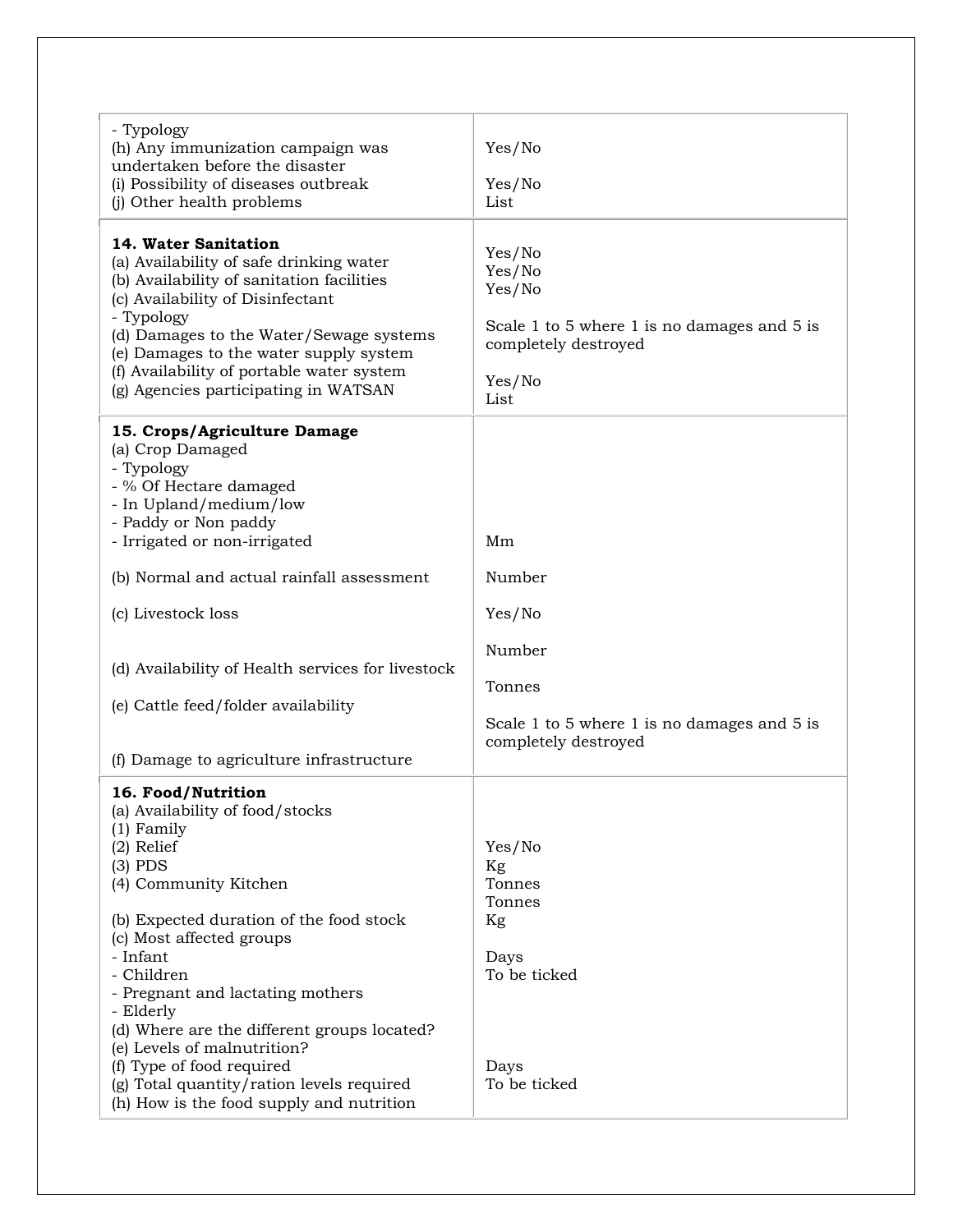| - Typology<br>(h) Any immunization campaign was<br>undertaken before the disaster<br>(i) Possibility of diseases outbreak<br>(j) Other health problems                                                                                                                                                                                                                                                                                                                            | Yes/No<br>Yes/No<br>List                                                                                            |
|-----------------------------------------------------------------------------------------------------------------------------------------------------------------------------------------------------------------------------------------------------------------------------------------------------------------------------------------------------------------------------------------------------------------------------------------------------------------------------------|---------------------------------------------------------------------------------------------------------------------|
| 14. Water Sanitation<br>(a) Availability of safe drinking water<br>(b) Availability of sanitation facilities<br>(c) Availability of Disinfectant<br>- Typology<br>(d) Damages to the Water/Sewage systems<br>(e) Damages to the water supply system<br>(f) Availability of portable water system<br>(g) Agencies participating in WATSAN                                                                                                                                          | Yes/No<br>Yes/No<br>Yes/No<br>Scale 1 to 5 where 1 is no damages and 5 is<br>completely destroyed<br>Yes/No<br>List |
| 15. Crops/Agriculture Damage<br>(a) Crop Damaged<br>- Typology<br>- % Of Hectare damaged<br>- In Upland/medium/low<br>- Paddy or Non paddy<br>- Irrigated or non-irrigated                                                                                                                                                                                                                                                                                                        | Mm                                                                                                                  |
| (b) Normal and actual rainfall assessment                                                                                                                                                                                                                                                                                                                                                                                                                                         | Number                                                                                                              |
| (c) Livestock loss                                                                                                                                                                                                                                                                                                                                                                                                                                                                | Yes/No                                                                                                              |
| (d) Availability of Health services for livestock<br>(e) Cattle feed/folder availability<br>(f) Damage to agriculture infrastructure                                                                                                                                                                                                                                                                                                                                              | Number<br>Tonnes<br>Scale 1 to 5 where 1 is no damages and 5 is<br>completely destroyed                             |
| 16. Food/Nutrition<br>(a) Availability of food/stocks<br>$(1)$ Family<br>$(2)$ Relief<br>$(3)$ PDS<br>(4) Community Kitchen<br>(b) Expected duration of the food stock<br>(c) Most affected groups<br>- Infant<br>- Children<br>- Pregnant and lactating mothers<br>- Elderly<br>(d) Where are the different groups located?<br>(e) Levels of malnutrition?<br>(f) Type of food required<br>(g) Total quantity/ration levels required<br>(h) How is the food supply and nutrition | Yes/No<br>Kg<br>Tonnes<br>Tonnes<br>Kg<br>Days<br>To be ticked<br>Days<br>To be ticked                              |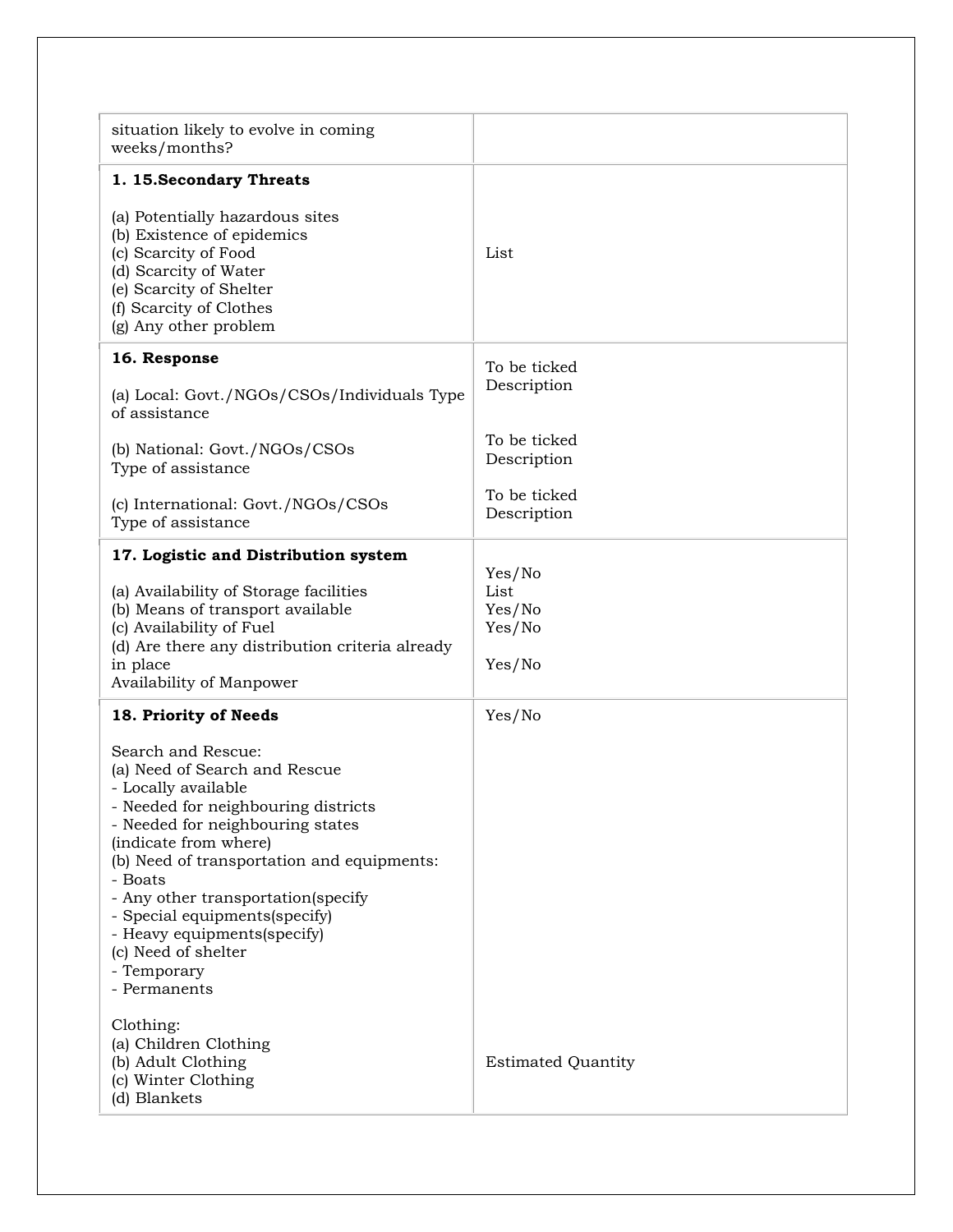| situation likely to evolve in coming<br>weeks/months?                                                                                                                                                                                                                                                                                                                                               |                                              |
|-----------------------------------------------------------------------------------------------------------------------------------------------------------------------------------------------------------------------------------------------------------------------------------------------------------------------------------------------------------------------------------------------------|----------------------------------------------|
| 1. 15. Secondary Threats                                                                                                                                                                                                                                                                                                                                                                            |                                              |
| (a) Potentially hazardous sites<br>(b) Existence of epidemics<br>(c) Scarcity of Food<br>(d) Scarcity of Water<br>(e) Scarcity of Shelter<br>(f) Scarcity of Clothes<br>(g) Any other problem                                                                                                                                                                                                       | List                                         |
| 16. Response                                                                                                                                                                                                                                                                                                                                                                                        | To be ticked                                 |
| (a) Local: Govt./NGOs/CSOs/Individuals Type<br>of assistance                                                                                                                                                                                                                                                                                                                                        | Description                                  |
| (b) National: Govt./NGOs/CSOs<br>Type of assistance                                                                                                                                                                                                                                                                                                                                                 | To be ticked<br>Description                  |
| (c) International: Govt./NGOs/CSOs<br>Type of assistance                                                                                                                                                                                                                                                                                                                                            | To be ticked<br>Description                  |
| 17. Logistic and Distribution system                                                                                                                                                                                                                                                                                                                                                                |                                              |
| (a) Availability of Storage facilities<br>(b) Means of transport available<br>(c) Availability of Fuel<br>(d) Are there any distribution criteria already<br>in place<br>Availability of Manpower                                                                                                                                                                                                   | Yes/No<br>List<br>Yes/No<br>Yes/No<br>Yes/No |
| 18. Priority of Needs                                                                                                                                                                                                                                                                                                                                                                               | Yes/No                                       |
| Search and Rescue:<br>(a) Need of Search and Rescue<br>- Locally available<br>- Needed for neighbouring districts<br>- Needed for neighbouring states<br>(indicate from where)<br>(b) Need of transportation and equipments:<br>- Boats<br>- Any other transportation(specify<br>- Special equipments(specify)<br>- Heavy equipments(specify)<br>(c) Need of shelter<br>- Temporary<br>- Permanents |                                              |
| Clothing:<br>(a) Children Clothing<br>(b) Adult Clothing<br>(c) Winter Clothing<br>(d) Blankets                                                                                                                                                                                                                                                                                                     | <b>Estimated Quantity</b>                    |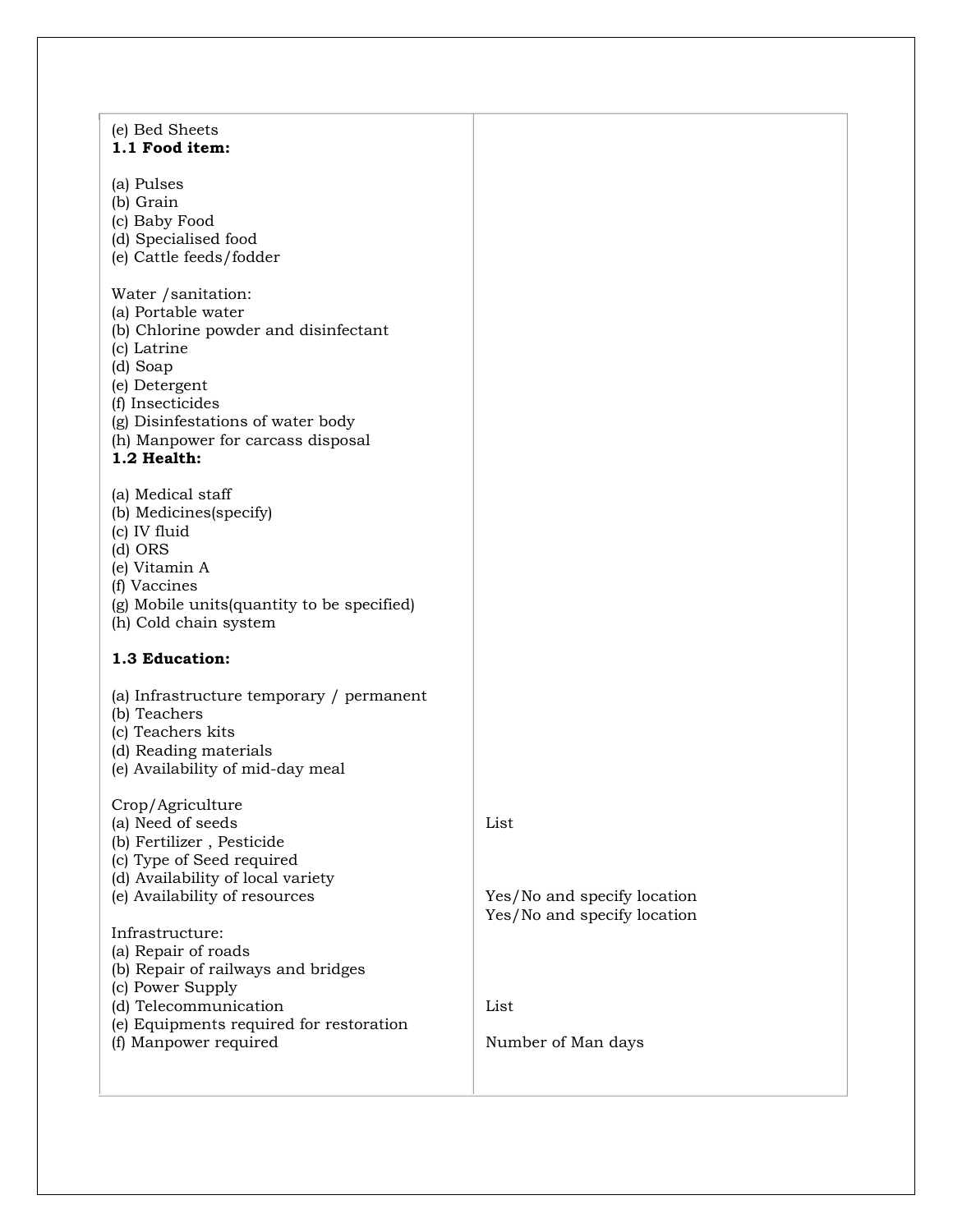| List                                                       |
|------------------------------------------------------------|
| Yes/No and specify location<br>Yes/No and specify location |
|                                                            |
| List                                                       |
| Number of Man days                                         |
|                                                            |